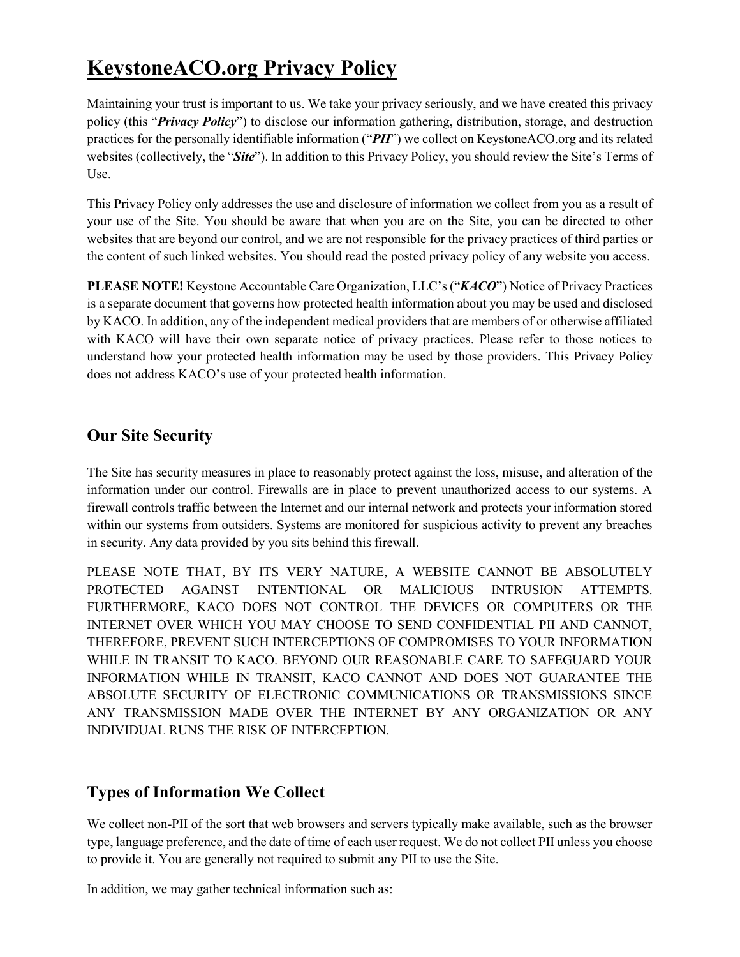# **KeystoneACO.org Privacy Policy**

Maintaining your trust is important to us. We take your privacy seriously, and we have created this privacy policy (this "*Privacy Policy*") to disclose our information gathering, distribution, storage, and destruction practices for the personally identifiable information ("*PII*") we collect on KeystoneACO.org and its related websites (collectively, the "*Site*"). In addition to this Privacy Policy, you should review the Site's Terms of Use.

This Privacy Policy only addresses the use and disclosure of information we collect from you as a result of your use of the Site. You should be aware that when you are on the Site, you can be directed to other websites that are beyond our control, and we are not responsible for the privacy practices of third parties or the content of such linked websites. You should read the posted privacy policy of any website you access.

**PLEASE NOTE!** Keystone Accountable Care Organization, LLC's ("*KACO*") Notice of Privacy Practices is a separate document that governs how protected health information about you may be used and disclosed by KACO. In addition, any of the independent medical providers that are members of or otherwise affiliated with KACO will have their own separate notice of privacy practices. Please refer to those notices to understand how your protected health information may be used by those providers. This Privacy Policy does not address KACO's use of your protected health information.

## **Our Site Security**

The Site has security measures in place to reasonably protect against the loss, misuse, and alteration of the information under our control. Firewalls are in place to prevent unauthorized access to our systems. A firewall controls traffic between the Internet and our internal network and protects your information stored within our systems from outsiders. Systems are monitored for suspicious activity to prevent any breaches in security. Any data provided by you sits behind this firewall.

PLEASE NOTE THAT, BY ITS VERY NATURE, A WEBSITE CANNOT BE ABSOLUTELY PROTECTED AGAINST INTENTIONAL OR MALICIOUS INTRUSION ATTEMPTS. FURTHERMORE, KACO DOES NOT CONTROL THE DEVICES OR COMPUTERS OR THE INTERNET OVER WHICH YOU MAY CHOOSE TO SEND CONFIDENTIAL PII AND CANNOT, THEREFORE, PREVENT SUCH INTERCEPTIONS OF COMPROMISES TO YOUR INFORMATION WHILE IN TRANSIT TO KACO. BEYOND OUR REASONABLE CARE TO SAFEGUARD YOUR INFORMATION WHILE IN TRANSIT, KACO CANNOT AND DOES NOT GUARANTEE THE ABSOLUTE SECURITY OF ELECTRONIC COMMUNICATIONS OR TRANSMISSIONS SINCE ANY TRANSMISSION MADE OVER THE INTERNET BY ANY ORGANIZATION OR ANY INDIVIDUAL RUNS THE RISK OF INTERCEPTION.

## **Types of Information We Collect**

We collect non-PII of the sort that web browsers and servers typically make available, such as the browser type, language preference, and the date of time of each user request. We do not collect PII unless you choose to provide it. You are generally not required to submit any PII to use the Site.

In addition, we may gather technical information such as: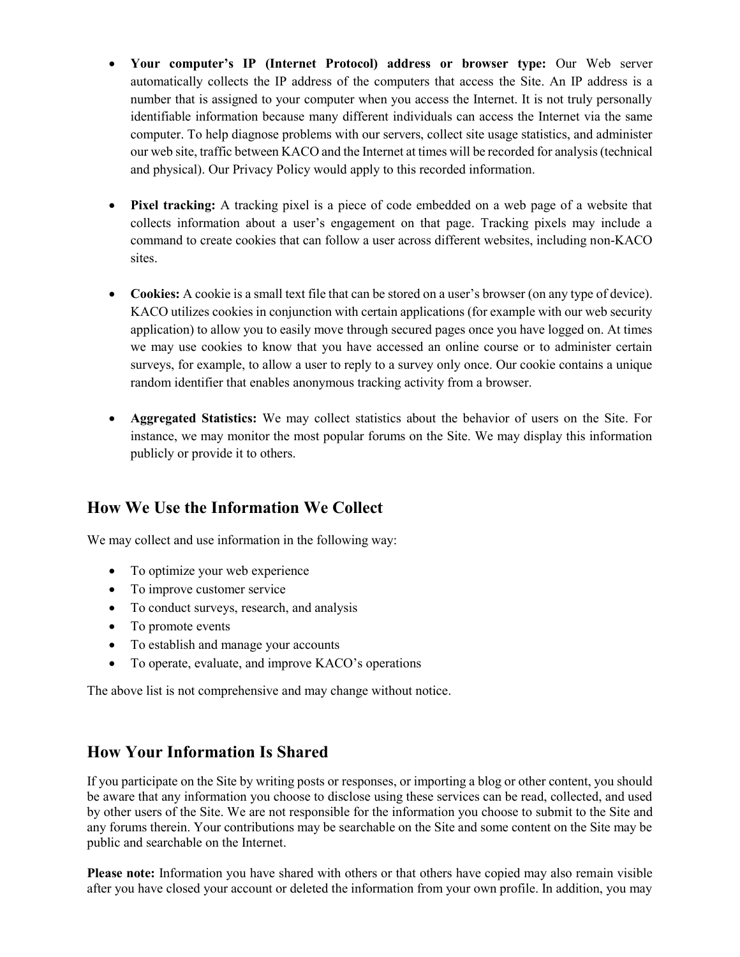- **Your computer's IP (Internet Protocol) address or browser type:** Our Web server automatically collects the IP address of the computers that access the Site. An IP address is a number that is assigned to your computer when you access the Internet. It is not truly personally identifiable information because many different individuals can access the Internet via the same computer. To help diagnose problems with our servers, collect site usage statistics, and administer our web site, traffic between KACO and the Internet at times will be recorded for analysis (technical and physical). Our Privacy Policy would apply to this recorded information.
- **Pixel tracking:** A tracking pixel is a piece of code embedded on a web page of a website that collects information about a user's engagement on that page. Tracking pixels may include a command to create cookies that can follow a user across different websites, including non-KACO sites.
- **Cookies:** A cookie is a small text file that can be stored on a user's browser (on any type of device). KACO utilizes cookies in conjunction with certain applications (for example with our web security application) to allow you to easily move through secured pages once you have logged on. At times we may use cookies to know that you have accessed an online course or to administer certain surveys, for example, to allow a user to reply to a survey only once. Our cookie contains a unique random identifier that enables anonymous tracking activity from a browser.
- **Aggregated Statistics:** We may collect statistics about the behavior of users on the Site. For instance, we may monitor the most popular forums on the Site. We may display this information publicly or provide it to others.

## **How We Use the Information We Collect**

We may collect and use information in the following way:

- To optimize your web experience
- To improve customer service
- To conduct surveys, research, and analysis
- To promote events
- To establish and manage your accounts
- To operate, evaluate, and improve KACO's operations

The above list is not comprehensive and may change without notice.

#### **How Your Information Is Shared**

If you participate on the Site by writing posts or responses, or importing a blog or other content, you should be aware that any information you choose to disclose using these services can be read, collected, and used by other users of the Site. We are not responsible for the information you choose to submit to the Site and any forums therein. Your contributions may be searchable on the Site and some content on the Site may be public and searchable on the Internet.

**Please note:** Information you have shared with others or that others have copied may also remain visible after you have closed your account or deleted the information from your own profile. In addition, you may